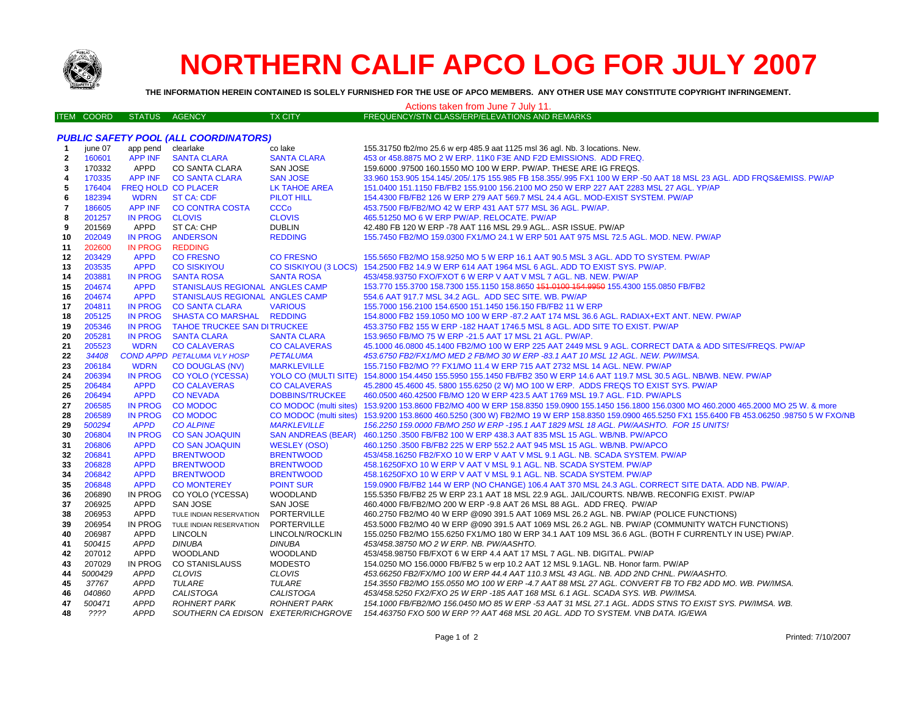

# **NORTHERN CALIF APCO LOG FOR JULY 2007**

THE INFORMATION HEREIN CONTAINED IS SOLELY FURNISHED FOR THE USE OF APCO MEMBERS. ANY OTHER USE MAY CONSTITUTE COPYRIGHT INFRINGEMENT.

### Actions taken from June 7 July 11.

| TEM COORD I | I STATUS AGENCY | <b>TX CITY</b> | FREQUENCY/STN CLASS/ERP/ELEVATIONS AND REMARKS |
|-------------|-----------------|----------------|------------------------------------------------|
|             |                 |                |                                                |

### **PUBLIC SAFETY POOL (ALL COORDINATORS)** iune 07 app pend clearlake co lake 155.31750 fb2/mo 25.6 w erp 485.9 aat 1125 msl 36 agl. Nb. 3 locations. New.  $\blacktriangleleft$  $\overline{\phantom{a}}$ 160601 **APP INF SANTA CLARA SANTA CLARA** 453 or 458.8875 MO 2 W ERP. 11K0 F3E AND F2D EMISSIONS. ADD FREQ. 170332 APPD CO SANTA CLARA SAN JOSE 159.6000 .97500 160.1550 MO 100 W ERP. PW/AP. THESE ARE IG FREQS. 3 **APP INF** 170335 **CO SANTA CLARA SAN JOSE** 33.960 153.905 154.145/.205/.175 155.985 FB 158.355/.995 FX1 100 W ERP -50 AAT 18 MSL 23 AGL. ADD FRQS&EMISS. PW/AP 4 5 176404 FREQ HOLD CO PLACER **LK TAHOE AREA** 151.0400 151.1150 FB/FB2 155.9100 156.2100 MO 250 W ERP 227 AAT 2283 MSL 27 AGL. YP/AP **WDRN PILOT HILL** 154.4300 FB/FB2 126 W ERP 279 AAT 569.7 MSL 24.4 AGL. MOD-EXIST SYSTEM. PW/AP 6 182394 **ST CA: CDF** 186605 **APP INF CO CONTRA COSTA CCCo** 453.7500 FB/FB2/MO 42 W ERP 431 AAT 577 MSL 36 AGL. PW/AP.  $\overline{7}$ 465.51250 MO 6 W ERP PW/AP. RELOCATE. PW/AP 201257 **IN PROG CLOVIS CLOVIS** 8  $\mathbf{Q}$ 201569 **APPD** ST CA: CHP **DUBLIN** 42.480 FB 120 W ERP -78 AAT 116 MSL 29.9 AGL.. ASR ISSUE. PW/AP 202049 **IN PROG ANDERSON REDDING** 155.7450 FB2/MO 159.0300 FX1/MO 24.1 W ERP 501 AAT 975 MSL 72.5 AGL, MOD, NEW, PW/AP  $10$ **IN PROG REDDING**  $11$ 202600 CO FRESNO 12 203429 **APPD CO FRESNO** 155,5650 FB2/MO 158,9250 MO 5 W ERP 16.1 AAT 90.5 MSL 3 AGL, ADD TO SYSTEM, PW/AP 203535 **APPD CO SISKIYOU** CO SISKIYOU (3 LOCS) 154.2500 FB2 14.9 W ERP 614 AAT 1964 MSL 6 AGL. ADD TO EXIST SYS. PW/AP. 13 14 203881 **IN PROG SANTA ROSA SANTA ROSA** 453/458.93750 FXO/FXOT 6 W ERP V AAT V MSL 7 AGL. NB. NEW. PW/AP 204674 **APPD STANISLAUS REGIONAL ANGLES CAMP** 153.770 155.3700 158.7300 155.1150 158.8650 151.0100 154.9950 155.4300 155.0850 FB/FB2 15 204674 **APPD** STANISLAUS REGIONAL ANGLES CAMP 554.6 AAT 917.7 MSL 34.2 AGL. ADD SEC SITE. WB. PW/AP 16 17 204811 **IN PROG CO SANTA CLARA VARIOUS** 155.7000 156.2100 154.6500 151.1450 156.150 FB/FB2 11 W ERP 18 205125 **IN PROG SHASTA CO MARSHAL REDDING** 154,8000 FB2 159,1050 MO 100 W ERP -87,2 AAT 174 MSL 36.6 AGL, RADIAX+EXT ANT, NEW, PW/AP 19 205346 **IN PROG TAHOE TRUCKEE SAN DITRUCKEE** 453.3750 FB2 155 W ERP -182 HAAT 1746.5 MSL 8 AGL, ADD SITE TO EXIST, PW/AP 20 205281 **IN PROG SANTA CLARA SANTA CLARA** 153,9650 FB/MO 75 W ERP -21.5 AAT 17 MSL 21 AGL, PW/AP. 205523 **WDRN CO CALAVERAS** CO CALAVERAS 45,1000 46,0800 45,1400 FB2/MO 100 W ERP 225 AAT 2449 MSL 9 AGL. CORRECT DATA & ADD SITES/FREQS. PW/AP  $21$ **COND APPD PETALUMA VLY HOSP** 34408 **PETALUMA** 453.6750 FB2/FX1/MO MED 2 FB/MO 30 W ERP -83.1 AAT 10 MSL 12 AGL. NEW. PW/IMSA. 22 206184 **WDRN CO DOUGLAS (NV) MARKLEVILLE** 155.7150 FB2/MO ?? FX1/MO 11.4 W ERP 715 AAT 2732 MSL 14 AGL. NEW. PW/AP 23 **CO YOLO (YCESSA) YOLO CO (MULTI SITE)** 154.8000 154.4450 155.5950 155.1450 FB/FB2 350 W ERP 14.6 AAT 119.7 MSL 30.5 AGL. NB/WB. NEW. PW/AP 24 206394 **IN PROG** 45.2800 45.4600 45.5800 155.6250 (2 W) MO 100 W ERP. ADDS FREQS TO EXIST SYS. PW/AP 25 206484 **APPD CO CALAVERAS CO CALAVERAS** 26 206494 **APPD CONEVADA DOBBINS/TRUCKEE** 460,0500 460,42500 FB/MO 120 W ERP 423.5 AAT 1769 MSL 19.7 AGL, F1D, PW/APLS  $27$ 206585 IN PROG CO MODOC CO MODOC (multi sites) 153.9200 153.8600 FB2/MO 400 W ERP 158.8350 159.0900 155.1450 156.1800 156.0300 MO 460.2000 465.2000 MO 25 W. & more 28 206589 **IN PROG CO MODOC CO MODOC** (multi sites) 153,9200 153,8600 460,5250 (300 W) FB2/MO 19 W ERP 158,8350 159,0900 465,5250 FX1 155,6400 FB 453,06250 ,98750 5 W FXO/NB **APPD MARKLEVILLE** 156.2250 159.0000 FB/MO 250 W ERP -195.1 AAT 1829 MSL 18 AGL, PW/AASHTO, FOR 15 UNITS! 29 500294 **CO ALPINE** 30 206804 **IN PROG CO SAN JOAQUIN SAN ANDREAS (BEAR)** 460.1250 .3500 FB/FB2 100 W ERP 438.3 AAT 835 MSL 15 AGL. WB/NB. PW/APCO **CO SAN JOAQUIN**  $31$ 206806 **APPD WESLEY (OSO)** 460.1250 .3500 FB/FB2 225 W ERP 552.2 AAT 945 MSL 15 AGL, WB/NB, PW/APCO **APPD BRENTWOOD BRENTWOOD** 32 206841 453/458.16250 FB2/FXO 10 W ERP V AAT V MSL 9.1 AGL. NB. SCADA SYSTEM. PW/AP 33 206828 **APPD BRENTWOOD BRENTWOOD** 458.16250FXO 10 W ERP V AAT V MSL 9.1 AGL, NB, SCADA SYSTEM, PW/AP 206842 **APPD BRENTWOOD BRENTWOOD** 458.16250 FXO 10 W ERP V AAT V MSL 9.1 AGL, NB, SCADA SYSTEM, PWAP 34 35 206848 **APPD CO MONTEREY POINT SUR** 159,0900 FB/FB2 144 W ERP (NO CHANGE) 106.4 AAT 370 MSL 24.3 AGL. CORRECT SITE DATA, ADD NB, PW/AP, 36 206890 IN PROG CO YOLO (YCESSA) **WOODLAND** 155,5350 FB/FB2 25 W ERP 23.1 AAT 18 MSL 22.9 AGL, JAIL/COURTS, NB/WB, RECONFIG EXIST, PW/AP 37 206925 APPD **SAN JOSE** SAN JOSE 460.4000 FB/FB2/MO 200 W ERP -9.8 AAT 26 MSL 88 AGL. ADD FREQ. PW/AP 38 206953 **APPD** PORTERVILLE 460.2750 FB2/MO 40 W ERP @090 391.5 AAT 1069 MSL 26.2 AGL. NB. PW/AP (POLICE FUNCTIONS) TULE INDIAN RESERVATION 39 206954 IN PROG TULE INDIAN RESERVATION PORTERVILLE 453.5000 FB2/MO 40 W ERP @090 391.5 AAT 1069 MSL 26.2 AGL. NB. PW/AP (COMMUNITY WATCH FUNCTIONS) 40 206987 **APPD LINCOLN LINCOLN/ROCKLIN** 155.0250 FB2/MO 155.6250 FX1/MO 180 W ERP 34.1 AAT 109 MSL 36.6 AGL. (BOTH F CURRENTLY IN USE) PW/AP. 500415 **APPD DINUBA DINUBA** 453/458.38750 MO 2 W ERP. NB. PW/AASHTO. 41 **WOODLAND WOODLAND** 207012 **APPD** 453/458.98750 FB/FXOT 6 W ERP 4.4 AAT 17 MSL 7 AGL. NB. DIGITAL. PW/AP 42 207029 IN PROG **CO STANISLAUSS MODESTO** 43 154.0250 MO 156.0000 FB/FB2 5 w erp 10.2 AAT 12 MSL 9.1AGL. NB. Honor farm. PW/AP 44 5000429 **APPD CLOVIS CLOVIS** 453.66250 FB2/FX/MO 100 W ERP 44.4 AAT 110.3 MSL 43 AGL. NB. ADD 2ND CHNL. PW/AASHTO. 37767 **APPD TULARE TULARE** 154.3550 FB2/MO 155.0550 MO 100 W ERP -4.7 AAT 88 MSL 27 AGL. CONVERT FB TO FB2 ADD MO, WB, PW/IMSA. 45  $46$ 040860 **APPD CALISTOGA CALISTOGA** 453/458.5250 FX2/FXO 25 W ERP -185 AAT 168 MSL 6.1 AGL, SCADA SYS, WB, PW/IMSA. 154.1000 FB/FB2/MO 156.0450 MO 85 W ERP -53 AAT 31 MSL 27.1 AGL. ADDS STNS TO EXIST SYS. PW/IMSA. WB. 47 500471 **APPD ROHNERT PARK ROHNERT PARK** 48 ???? **APPD** SOUTHERN CA EDISON EXETER/RICHGROVE 154.463750 FXO 500 W ERP ?? AAT 468 MSL 20 AGL. ADD TO SYSTEM. VNB DATA. IG/EWA